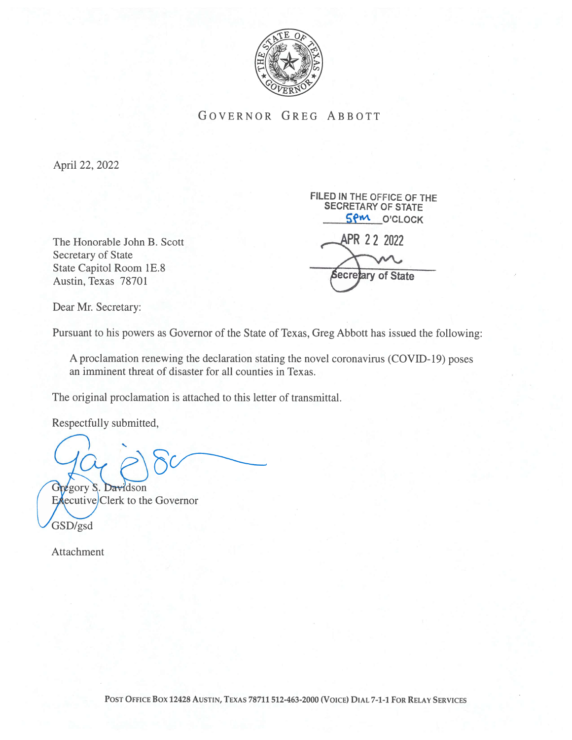

GOVERNOR GREG ABBOTT

April 22, 2022

The Honorable John B. Scott **APR 22 2022** Secretary of State State Capitol Room 1E.8 Secretary of State<br>State Capitol Room 1E.8<br>Austin, Texas 78701

SECRETARY OF STATE **SPM O'CLOCK** 

FILED IN THE OFFICE OF THE

Dear Mr. Secretary:

Pursuant to his powers as Governor of the State of Texas, Greg Abbott has issued the following:

A proclamation renewing the declaration stating the novel coronavirus (COVID- 19) poses an imminent threat of disaster for all counties in Texas.

The original proclamation is attached to this letter of transmittal.

Respectfully submitted,

Gregory S. Davidson  $Ex$ ecutive $|C|$ erk to the Governor GSD/gsd

Attachment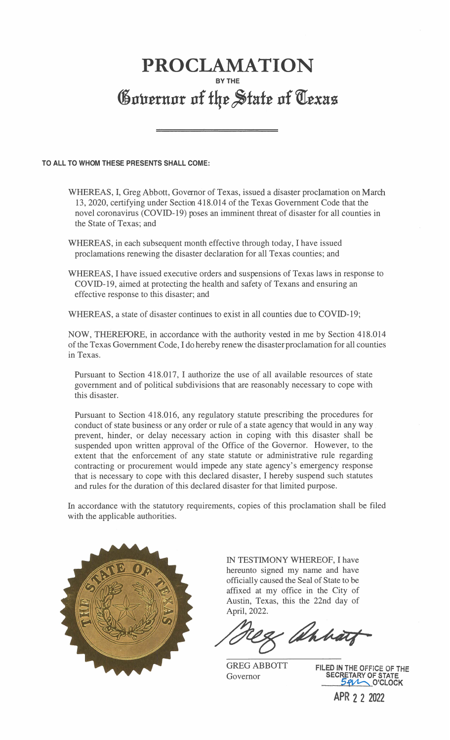## PROCLAMATION BY THE Governor of the State of Texas

## TO ALL TO WHOM THESE PRESENTS SHALL COME:

- WHEREAS, I, Greg Abbott, Governor of Texas, issued a disaster proclamation on March 13, 2020, certifying under Section 418.014 of the Texas Government Code that the novel coronavirus (COVID-19) poses an imminent threat of disaster for all counties in the State of Texas; and
- WHEREAS, in each subsequent month effective through today, I have issued proclamations renewing the disaster declaration for all Texas counties; and
- WHEREAS, I have issued executive orders and suspensions of Texas laws in response to COVID-19, aimed at protecting the health and safety of Texans and ensuring an effective response to this disaster; and

WHEREAS, a state of disaster continues to exist in all counties due to COVID-19;

NOW, THEREFORE, in accordance with the authority vested in me by Section 418.014 of the Texas Government Code, I do hereby renew the disaster proclamation for all counties in Texas.

Pursuant to Section 418.017, I authorize the use of all available resources of state government and of political subdivisions that are reasonably necessary to cope with this disaster.

Pursuant to Section 418.016, any regulatory statute prescribing the procedures for conduct of state business or any order or rule of a state agency that would in any way prevent, hinder, or delay necessary action in coping with this disaster shall be suspended upon written approval of the Office of the Governor. However, to the extent that the enforcement of any state statute or administrative rule regarding contracting or procurement would impede any state agency' s emergency response that is necessary to cope with this declared disaster, I hereby suspend such statutes and rules for the duration of this declared disaster for that limited purpose.

In accordance with the statutory requirements, copies of this proclamation shall be filed with the applicable authorities.



IN TESTIMONY WHEREOF, I have hereunto signed my name and have officially caused the Seal of State to be affixed at my office in the City of Austin, Texas, this the 22nd day of April, 2022.

& ahhat

GREG ABBOTT FILED IN THE OFFICE OF THE<br>Governor **SECRETARY OF STATE** Governor SECRETARY OF STATE — O'CLOCK

APR 2 2 2022